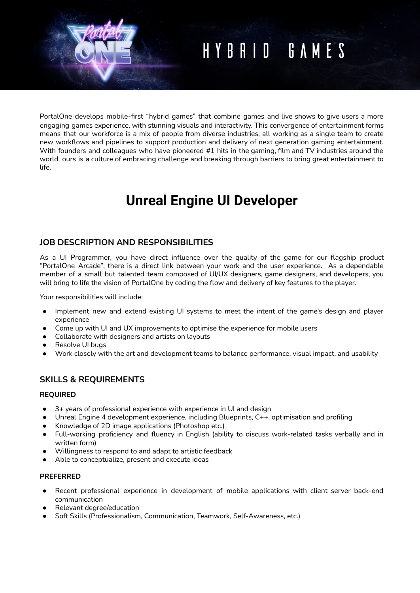# HYBRID GAMES

PortalOne develops mobile-first "hybrid games" that combine games and live shows to give users a more engaging games experience, with stunning visuals and interactivity. This convergence of entertainment forms means that our workforce is a mix of people from diverse industries, all working as a single team to create new workflows and pipelines to support production and delivery of next generation gaming entertainment. With founders and colleagues who have pioneered #1 hits in the gaming, film and TV industries around the world, ours is a culture of embracing challenge and breaking through barriers to bring great entertainment to life.

# **Unreal Engine UI Developer**

# **JOB DESCRIPTION AND RESPONSIBILITIES**

As a UI Programmer, you have direct influence over the quality of the game for our flagship product "PortalOne Arcade"; there is a direct link between your work and the user experience. As a dependable member of a small but talented team composed of UI/UX designers, game designers, and developers, you will bring to life the vision of PortalOne by coding the flow and delivery of key features to the player.

Your responsibilities will include:

- Implement new and extend existing UI systems to meet the intent of the game's design and player experience
- Come up with UI and UX improvements to optimise the experience for mobile users
- Collaborate with designers and artists on layouts
- Resolve UI bugs
- Work closely with the art and development teams to balance performance, visual impact, and usability

# **SKILLS & REQUIREMENTS**

#### **REQUIRED**

- 3+ years of professional experience with experience in UI and design
- Unreal Engine 4 development experience, including Blueprints, C++, optimisation and profiling
- Knowledge of 2D image applications (Photoshop etc.)
- Full-working proficiency and fluency in English (ability to discuss work-related tasks verbally and in written form)
- Willingness to respond to and adapt to artistic feedback
- Able to conceptualize, present and execute ideas

#### **PREFERRED**

- Recent professional experience in development of mobile applications with client server back-end communication
- Relevant degree/education
- Soft Skills (Professionalism, Communication, Teamwork, Self-Awareness, etc.)